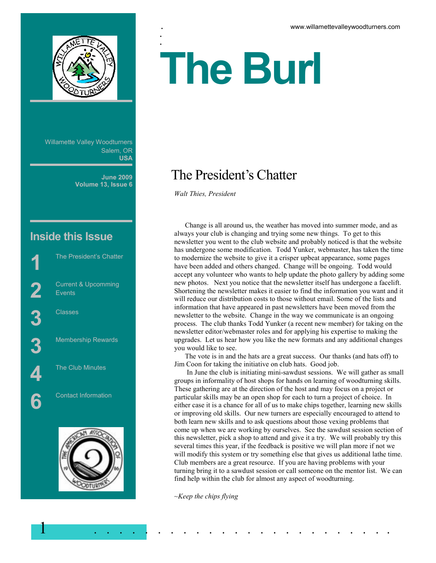

Willamette Valley Woodturners Salem, OR **USA**

> **June 2009 Volume 13, Issue 6**

# **Inside this Issue**

The President's Chatter Current & Upcomming Events **3** Classes Membership Rewards The Club Minutes Contact Information



# :<br>. **The Burl**

# The President's Chatter

*Walt Thies, President*

.<br>.

 Change is all around us, the weather has moved into summer mode, and as always your club is changing and trying some new things. To get to this newsletter you went to the club website and probably noticed is that the website has undergone some modification. Todd Yunker, webmaster, has taken the time to modernize the website to give it a crisper upbeat appearance, some pages have been added and others changed. Change will be ongoing. Todd would accept any volunteer who wants to help update the photo gallery by adding some new photos. Next you notice that the newsletter itself has undergone a facelift. Shortening the newsletter makes it easier to find the information you want and it will reduce our distribution costs to those without email. Some of the lists and information that have appeared in past newsletters have been moved from the newsletter to the website. Change in the way we communicate is an ongoing process. The club thanks Todd Yunker (a recent new member) for taking on the newsletter editor/webmaster roles and for applying his expertise to making the upgrades. Let us hear how you like the new formats and any additional changes you would like to see.

 The vote is in and the hats are a great success. Our thanks (and hats off) to Jim Coon for taking the initiative on club hats. Good job.

 In June the club is initiating mini-sawdust sessions. We will gather as small groups in informality of host shops for hands on learning of woodturning skills. These gathering are at the direction of the host and may focus on a project or particular skills may be an open shop for each to turn a project of choice. In either case it is a chance for all of us to make chips together, learning new skills or improving old skills. Our new turners are especially encouraged to attend to both learn new skills and to ask questions about those vexing problems that come up when we are working by ourselves. See the sawdust session section of this newsletter, pick a shop to attend and give it a try. We will probably try this several times this year, if the feedback is positive we will plan more if not we will modify this system or try something else that gives us additional lathe time. Club members are a great resource. If you are having problems with your turning bring it to a sawdust session or call someone on the mentor list. We can find help within the club for almost any aspect of woodturning.

*~Keep the chips flying* 

1 . . . . . . . . . . . . . . . . . . . . . . . .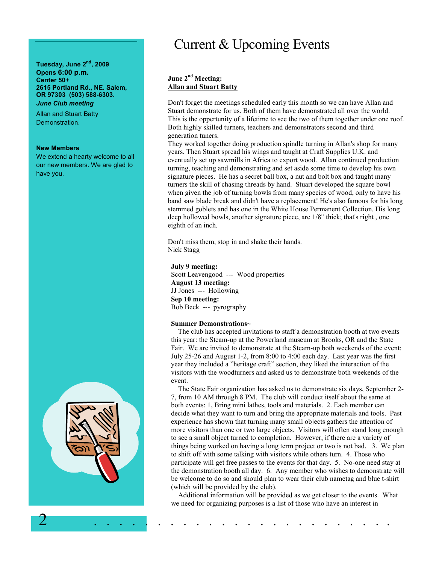#### **Tuesday, June 2nd, 2009 Opens 6:00 p.m. Center 50+ 2615 Portland Rd., NE. Salem, OR 97303 (503) 588-6303.**  *June Club meeting*

Allan and Stuart Batty Demonstration.

#### **New Members**

We extend a hearty welcome to all our new members. We are glad to have you.



# Current & Upcoming Events

## **June 2nd Meeting: Allan and Stuart Batty**

Don't forget the meetings scheduled early this month so we can have Allan and Stuart demonstrate for us. Both of them have demonstrated all over the world. This is the oppertunity of a lifetime to see the two of them together under one roof. Both highly skilled turners, teachers and demonstrators second and third generation tuners.

They worked together doing production spindle turning in Allan's shop for many years. Then Stuart spread his wings and taught at Craft Supplies U.K. and eventually set up sawmills in Africa to export wood. Allan continued production turning, teaching and demonstrating and set aside some time to develop his own signature pieces. He has a secret ball box, a nut and bolt box and taught many turners the skill of chasing threads by hand. Stuart developed the square bowl when given the job of turning bowls from many species of wood, only to have his band saw blade break and didn't have a replacement! He's also famous for his long stemmed goblets and has one in the White House Permanent Collection. His long deep hollowed bowls, another signature piece, are 1/8" thick; that's right , one eighth of an inch.

Don't miss them, stop in and shake their hands. Nick Stagg

#### **July 9 meeting:**

Scott Leavengood --- Wood properties **August 13 meeting:**  JJ Jones --- Hollowing **Sep 10 meeting:**  Bob Beck --- pyrography

#### **Summer Demonstrations~**

 The club has accepted invitations to staff a demonstration booth at two events this year: the Steam-up at the Powerland museum at Brooks, OR and the State Fair. We are invited to demonstrate at the Steam-up both weekends of the event: July 25-26 and August 1-2, from 8:00 to 4:00 each day. Last year was the first year they included a "heritage craft" section, they liked the interaction of the visitors with the woodturners and asked us to demonstrate both weekends of the event.

 The State Fair organization has asked us to demonstrate six days, September 2- 7, from 10 AM through 8 PM. The club will conduct itself about the same at both events: 1, Bring mini lathes, tools and materials. 2. Each member can decide what they want to turn and bring the appropriate materials and tools. Past experience has shown that turning many small objects gathers the attention of more visitors than one or two large objects. Visitors will often stand long enough to see a small object turned to completion. However, if there are a variety of things being worked on having a long term project or two is not bad. 3. We plan to shift off with some talking with visitors while others turn. 4. Those who participate will get free passes to the events for that day. 5. No-one need stay at the demonstration booth all day. 6. Any member who wishes to demonstrate will be welcome to do so and should plan to wear their club nametag and blue t-shirt (which will be provided by the club).

 Additional information will be provided as we get closer to the events. What we need for organizing purposes is a list of those who have an interest in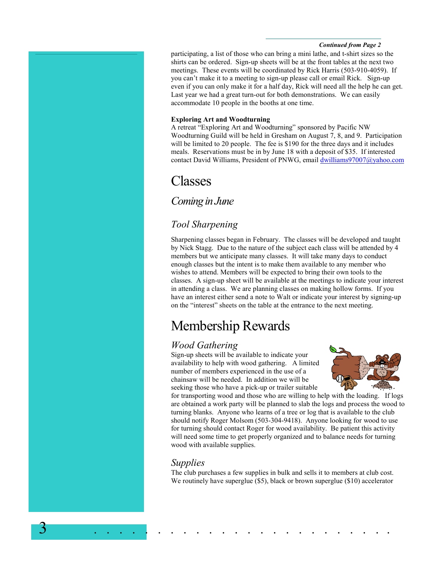#### *Continued from Page 2*

participating, a list of those who can bring a mini lathe, and t-shirt sizes so the shirts can be ordered. Sign-up sheets will be at the front tables at the next two meetings. These events will be coordinated by Rick Harris (503-910-4059). If you can't make it to a meeting to sign-up please call or email Rick. Sign-up even if you can only make it for a half day, Rick will need all the help he can get. Last year we had a great turn-out for both demonstrations. We can easily accommodate 10 people in the booths at one time.

### **Exploring Art and Woodturning**

A retreat "Exploring Art and Woodturning" sponsored by Pacific NW Woodturning Guild will be held in Gresham on August 7, 8, and 9. Participation will be limited to 20 people. The fee is \$190 for the three days and it includes meals. Reservations must be in by June 18 with a deposit of \$35. If interested contact David Williams, President of PNWG, email dwilliams97007@yahoo.com

# Classes

# *Coming in June*

# *Tool Sharpening*

Sharpening classes began in February. The classes will be developed and taught by Nick Stagg. Due to the nature of the subject each class will be attended by 4 members but we anticipate many classes. It will take many days to conduct enough classes but the intent is to make them available to any member who wishes to attend. Members will be expected to bring their own tools to the classes. A sign-up sheet will be available at the meetings to indicate your interest in attending a class. We are planning classes on making hollow forms. If you have an interest either send a note to Walt or indicate your interest by signing-up on the "interest" sheets on the table at the entrance to the next meeting.

# Membership Rewards

# *Wood Gathering*

Sign-up sheets will be available to indicate your availability to help with wood gathering. A limited number of members experienced in the use of a chainsaw will be needed. In addition we will be seeking those who have a pick-up or trailer suitable



for transporting wood and those who are willing to help with the loading. If logs are obtained a work party will be planned to slab the logs and process the wood to turning blanks. Anyone who learns of a tree or log that is available to the club should notify Roger Molsom (503-304-9418). Anyone looking for wood to use for turning should contact Roger for wood availability. Be patient this activity will need some time to get properly organized and to balance needs for turning wood with available supplies.

# *Supplies*

3 . . . . . . . . . . . . . . . . . . . . . . . .

The club purchases a few supplies in bulk and sells it to members at club cost. We routinely have superglue (\$5), black or brown superglue (\$10) accelerator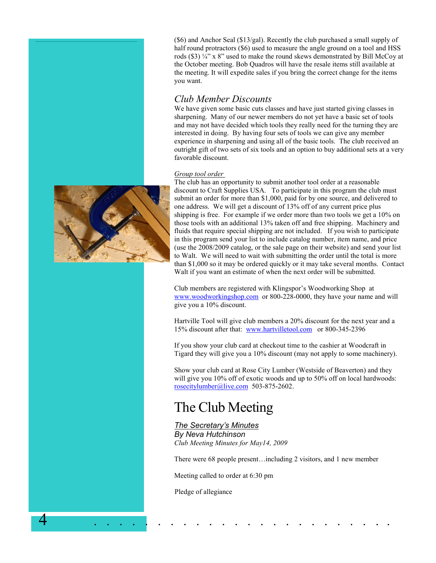(\$6) and Anchor Seal (\$13/gal). Recently the club purchased a small supply of half round protractors (\$6) used to measure the angle ground on a tool and HSS rods (\$3)  $\frac{1}{4}$ " x 8" used to make the round skews demonstrated by Bill McCoy at the October meeting. Bob Quadros will have the resale items still available at the meeting. It will expedite sales if you bring the correct change for the items you want.

# *Club Member Discounts*

We have given some basic cuts classes and have just started giving classes in sharpening. Many of our newer members do not yet have a basic set of tools and may not have decided which tools they really need for the turning they are interested in doing. By having four sets of tools we can give any member experience in sharpening and using all of the basic tools. The club received an outright gift of two sets of six tools and an option to buy additional sets at a very favorable discount.

## *Group tool order*



The club has an opportunity to submit another tool order at a reasonable discount to Craft Supplies USA. To participate in this program the club must submit an order for more than \$1,000, paid for by one source, and delivered to one address. We will get a discount of 13% off of any current price plus shipping is free. For example if we order more than two tools we get a 10% on those tools with an additional 13% taken off and free shipping. Machinery and fluids that require special shipping are not included. If you wish to participate in this program send your list to include catalog number, item name, and price (use the 2008/2009 catalog, or the sale page on their website) and send your list to Walt. We will need to wait with submitting the order until the total is more than \$1,000 so it may be ordered quickly or it may take several months. Contact Walt if you want an estimate of when the next order will be submitted.

Club members are registered with Klingspor's Woodworking Shop at www.woodworkingshop.com or 800-228-0000, they have your name and will give you a 10% discount.

Hartville Tool will give club members a 20% discount for the next year and a 15% discount after that: www.hartvilletool.com or 800-345-2396

If you show your club card at checkout time to the cashier at Woodcraft in Tigard they will give you a 10% discount (may not apply to some machinery).

Show your club card at Rose City Lumber (Westside of Beaverton) and they will give you 10% off of exotic woods and up to 50% off on local hardwoods: rosecitylumber@live.com 503-875-2602.

# The Club Meeting

# *The Secretary's Minutes*

*By Neva Hutchinson Club Meeting Minutes for May14, 2009* 

There were 68 people present…including 2 visitors, and 1 new member

Meeting called to order at 6:30 pm

Pledge of allegiance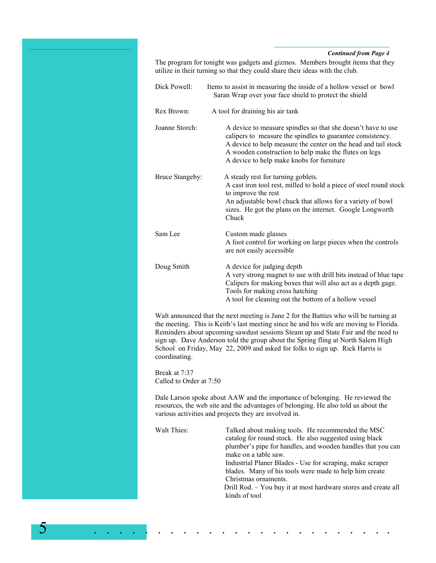#### *Continued from Page 4*

The program for tonight was gadgets and gizmos. Members brought items that they utilize in their turning so that they could share their ideas with the club.

Dick Powell: Items to assist in measuring the inside of a hollow vessel or bowl Saran Wrap over your face shield to protect the shield Rex Brown: A tool for draining his air tank Joanne Storch: A device to measure spindles so that she doesn't have to use calipers to measure the spindles to guarantee consistency. A device to help measure the center on the head and tail stock A wooden construction to help make the flutes on legs A device to help make knobs for furniture Bruce Stangeby: A steady rest for turning goblets. A cast iron tool rest, milled to hold a piece of steel round stock to improve the rest An adjustable bowl chuck that allows for a variety of bowl sizes. He got the plans on the internet. Google Longworth Chuck Sam Lee Custom made glasses A foot control for working on large pieces when the controls are not easily accessible Doug Smith A device for judging depth A very strong magnet to use with drill bits instead of blue tape Calipers for making boxes that will also act as a depth gage. Tools for making cross hatching A tool for cleaning out the bottom of a hollow vessel

Walt announced that the next meeting is June 2 for the Batties who will be turning at the meeting. This is Keith's last meeting since he and his wife are moving to Florida. Reminders about upcoming sawdust sessions Steam up and State Fair and the need to sign up. Dave Anderson told the group about the Spring fling at North Salem High School on Friday, May 22, 2009 and asked for folks to sign up. Rick Harris is coordinating.

Break at 7:37 Called to Order at 7:50

5 . . . . . . . . . . . . . . . . . . . . . . . .

Dale Larson spoke about AAW and the importance of belonging. He reviewed the resources, the web site and the advantages of belonging. He also told us about the various activities and projects they are involved in.

Walt Thies: Talked about making tools. He recommended the MSC catalog for round stock. He also suggested using black plumber's pipe for handles, and wooden handles that you can make on a table saw. Industrial Planer Blades - Use for scraping, make scraper blades. Many of his tools were made to help him create Christmas ornaments. Drill Rod. – You buy it at most hardware stores and create all kinds of tool